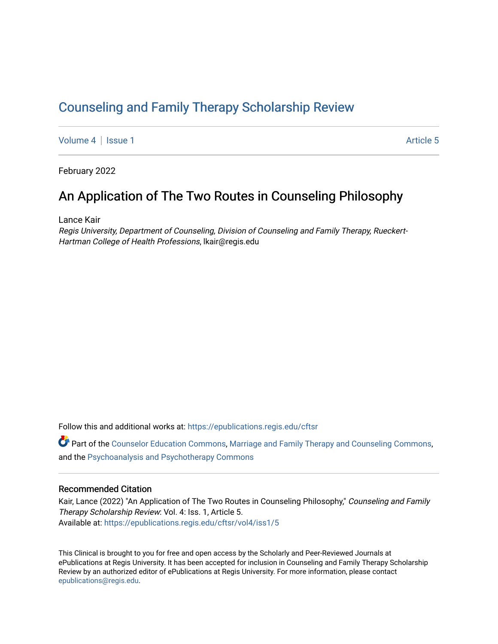# [Counseling and Family Therapy Scholarship Review](https://epublications.regis.edu/cftsr)

[Volume 4](https://epublications.regis.edu/cftsr/vol4) | [Issue 1](https://epublications.regis.edu/cftsr/vol4/iss1) Article 5

February 2022

# An Application of The Two Routes in Counseling Philosophy

Lance Kair

Regis University, Department of Counseling, Division of Counseling and Family Therapy, Rueckert-Hartman College of Health Professions, lkair@regis.edu

Follow this and additional works at: [https://epublications.regis.edu/cftsr](https://epublications.regis.edu/cftsr?utm_source=epublications.regis.edu%2Fcftsr%2Fvol4%2Fiss1%2F5&utm_medium=PDF&utm_campaign=PDFCoverPages) 

 $\bullet$  Part of the [Counselor Education Commons,](http://network.bepress.com/hgg/discipline/1278?utm_source=epublications.regis.edu%2Fcftsr%2Fvol4%2Fiss1%2F5&utm_medium=PDF&utm_campaign=PDFCoverPages) [Marriage and Family Therapy and Counseling Commons,](http://network.bepress.com/hgg/discipline/715?utm_source=epublications.regis.edu%2Fcftsr%2Fvol4%2Fiss1%2F5&utm_medium=PDF&utm_campaign=PDFCoverPages) and the [Psychoanalysis and Psychotherapy Commons](http://network.bepress.com/hgg/discipline/716?utm_source=epublications.regis.edu%2Fcftsr%2Fvol4%2Fiss1%2F5&utm_medium=PDF&utm_campaign=PDFCoverPages)

## Recommended Citation

Kair, Lance (2022) "An Application of The Two Routes in Counseling Philosophy," Counseling and Family Therapy Scholarship Review: Vol. 4: Iss. 1, Article 5. Available at: [https://epublications.regis.edu/cftsr/vol4/iss1/5](https://epublications.regis.edu/cftsr/vol4/iss1/5?utm_source=epublications.regis.edu%2Fcftsr%2Fvol4%2Fiss1%2F5&utm_medium=PDF&utm_campaign=PDFCoverPages)

This Clinical is brought to you for free and open access by the Scholarly and Peer-Reviewed Journals at ePublications at Regis University. It has been accepted for inclusion in Counseling and Family Therapy Scholarship Review by an authorized editor of ePublications at Regis University. For more information, please contact [epublications@regis.edu.](mailto:epublications@regis.edu)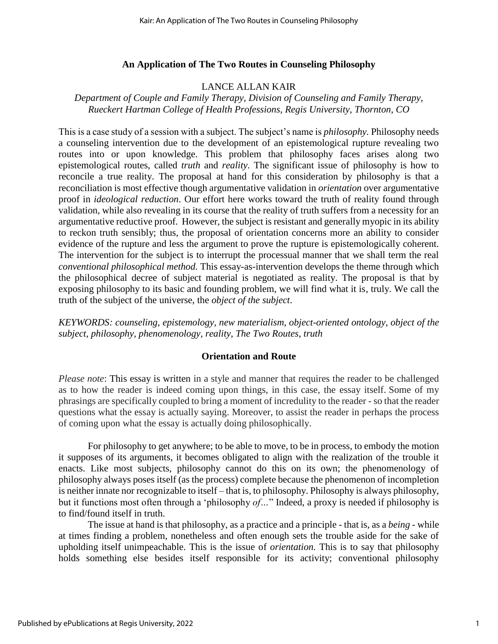# **An Application of The Two Routes in Counseling Philosophy**

# LANCE ALLAN KAIR

# *Department of Couple and Family Therapy, Division of Counseling and Family Therapy, Rueckert Hartman College of Health Professions, Regis University, Thornton, CO*

This is a case study of a session with a subject. The subject's name is *philosophy.* Philosophy needs a counseling intervention due to the development of an epistemological rupture revealing two routes into or upon knowledge. This problem that philosophy faces arises along two epistemological routes, called *truth* and *reality*. The significant issue of philosophy is how to reconcile a true reality. The proposal at hand for this consideration by philosophy is that a reconciliation is most effective though argumentative validation in *orientation* over argumentative proof in *ideological reduction*. Our effort here works toward the truth of reality found through validation, while also revealing in its course that the reality of truth suffers from a necessity for an argumentative reductive proof. However, the subject is resistant and generally myopic in its ability to reckon truth sensibly; thus, the proposal of orientation concerns more an ability to consider evidence of the rupture and less the argument to prove the rupture is epistemologically coherent. The intervention for the subject is to interrupt the processual manner that we shall term the real *conventional philosophical method.* This essay-as-intervention develops the theme through which the philosophical decree of subject material is negotiated as reality. The proposal is that by exposing philosophy to its basic and founding problem, we will find what it is, truly. We call the truth of the subject of the universe, the *object of the subject*.

*KEYWORDS: counseling, epistemology, new materialism, object-oriented ontology, object of the subject, philosophy, phenomenology, reality, The Two Routes, truth* 

## **Orientation and Route**

*Please note*: This essay is written in a style and manner that requires the reader to be challenged as to how the reader is indeed coming upon things, in this case, the essay itself. Some of my phrasings are specifically coupled to bring a moment of incredulity to the reader - so that the reader questions what the essay is actually saying. Moreover, to assist the reader in perhaps the process of coming upon what the essay is actually doing philosophically.

For philosophy to get anywhere; to be able to move, to be in process, to embody the motion it supposes of its arguments, it becomes obligated to align with the realization of the trouble it enacts. Like most subjects, philosophy cannot do this on its own; the phenomenology of philosophy always poses itself (as the process) complete because the phenomenon of incompletion is neither innate nor recognizable to itself – that is, to philosophy. Philosophy is always philosophy, but it functions most often through a 'philosophy *of…*" Indeed, a proxy is needed if philosophy is to find/found itself in truth.

The issue at hand is that philosophy, as a practice and a principle - that is, as a *being* - while at times finding a problem, nonetheless and often enough sets the trouble aside for the sake of upholding itself unimpeachable. This is the issue of *orientation.* This is to say that philosophy holds something else besides itself responsible for its activity; conventional philosophy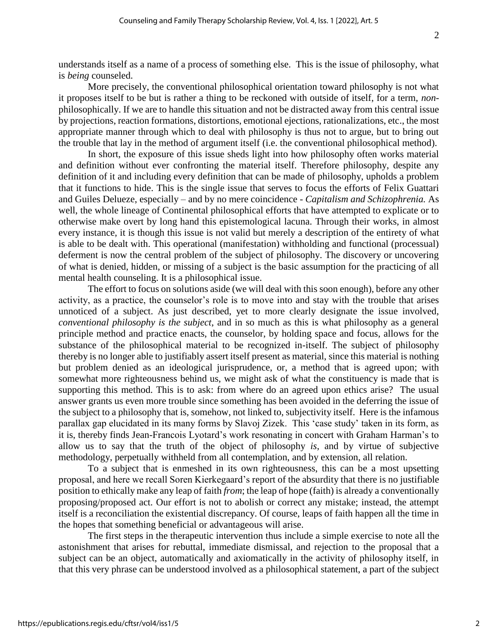understands itself as a name of a process of something else. This is the issue of philosophy, what is *being* counseled.

More precisely, the conventional philosophical orientation toward philosophy is not what it proposes itself to be but is rather a thing to be reckoned with outside of itself, for a term, *non*philosophically. If we are to handle this situation and not be distracted away from this central issue by projections, reaction formations, distortions, emotional ejections, rationalizations, etc., the most appropriate manner through which to deal with philosophy is thus not to argue, but to bring out the trouble that lay in the method of argument itself (i.e. the conventional philosophical method).

In short, the exposure of this issue sheds light into how philosophy often works material and definition without ever confronting the material itself. Therefore philosophy, despite any definition of it and including every definition that can be made of philosophy, upholds a problem that it functions to hide. This is the single issue that serves to focus the efforts of Felix Guattari and Guiles Delueze, especially – and by no mere coincidence - *Capitalism and Schizophrenia.* As well, the whole lineage of Continental philosophical efforts that have attempted to explicate or to otherwise make overt by long hand this epistemological lacuna. Through their works, in almost every instance, it is though this issue is not valid but merely a description of the entirety of what is able to be dealt with. This operational (manifestation) withholding and functional (processual) deferment is now the central problem of the subject of philosophy. The discovery or uncovering of what is denied, hidden, or missing of a subject is the basic assumption for the practicing of all mental health counseling. It is a philosophical issue.

The effort to focus on solutions aside (we will deal with this soon enough), before any other activity, as a practice, the counselor's role is to move into and stay with the trouble that arises unnoticed of a subject. As just described, yet to more clearly designate the issue involved, *conventional philosophy is the subject*, and in so much as this is what philosophy as a general principle method and practice enacts, the counselor, by holding space and focus, allows for the substance of the philosophical material to be recognized in-itself. The subject of philosophy thereby is no longer able to justifiably assert itself present as material, since this material is nothing but problem denied as an ideological jurisprudence, or, a method that is agreed upon; with somewhat more righteousness behind us, we might ask of what the constituency is made that is supporting this method. This is to ask: from where do an agreed upon ethics arise? The usual answer grants us even more trouble since something has been avoided in the deferring the issue of the subject to a philosophy that is, somehow, not linked to, subjectivity itself. Here is the infamous parallax gap elucidated in its many forms by Slavoj Zizek. This 'case study' taken in its form, as it is, thereby finds Jean-Francois Lyotard's work resonating in concert with Graham Harman's to allow us to say that the truth of the object of philosophy *is*, and by virtue of subjective methodology, perpetually withheld from all contemplation, and by extension, all relation.

To a subject that is enmeshed in its own righteousness, this can be a most upsetting proposal, and here we recall Soren Kierkegaard's report of the absurdity that there is no justifiable position to ethically make any leap of faith *from*; the leap of hope (faith) is already a conventionally proposing/proposed act. Our effort is not to abolish or correct any mistake; instead, the attempt itself is a reconciliation the existential discrepancy. Of course, leaps of faith happen all the time in the hopes that something beneficial or advantageous will arise.

The first steps in the therapeutic intervention thus include a simple exercise to note all the astonishment that arises for rebuttal, immediate dismissal, and rejection to the proposal that a subject can be an object, automatically and axiomatically in the activity of philosophy itself, in that this very phrase can be understood involved as a philosophical statement, a part of the subject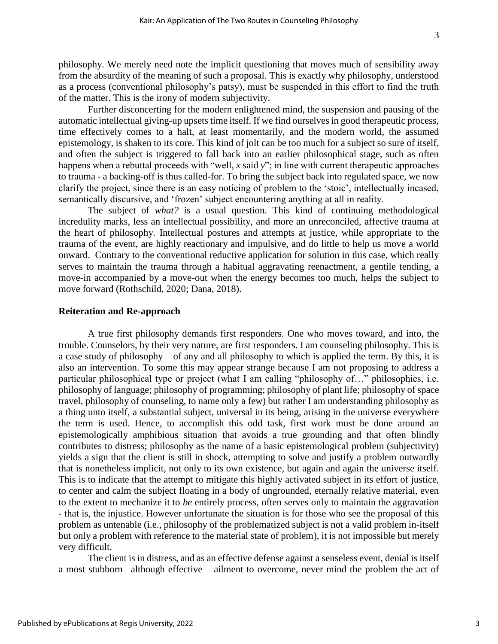philosophy. We merely need note the implicit questioning that moves much of sensibility away from the absurdity of the meaning of such a proposal. This is exactly why philosophy, understood as a process (conventional philosophy's patsy), must be suspended in this effort to find the truth of the matter. This is the irony of modern subjectivity.

Further disconcerting for the modern enlightened mind, the suspension and pausing of the automatic intellectual giving-up upsets time itself. If we find ourselves in good therapeutic process, time effectively comes to a halt, at least momentarily, and the modern world, the assumed epistemology, is shaken to its core. This kind of jolt can be too much for a subject so sure of itself, and often the subject is triggered to fall back into an earlier philosophical stage, such as often happens when a rebuttal proceeds with "well, *x* said *y*"; in line with current therapeutic approaches to trauma - a backing-off is thus called-for. To bring the subject back into regulated space, we now clarify the project, since there is an easy noticing of problem to the 'stoic', intellectually incased, semantically discursive, and 'frozen' subject encountering anything at all in reality.

The subject of *what?* is a usual question. This kind of continuing methodological incredulity marks, less an intellectual possibility, and more an unreconciled, affective trauma at the heart of philosophy. Intellectual postures and attempts at justice, while appropriate to the trauma of the event, are highly reactionary and impulsive, and do little to help us move a world onward. Contrary to the conventional reductive application for solution in this case, which really serves to maintain the trauma through a habitual aggravating reenactment, a gentile tending, a move-in accompanied by a move-out when the energy becomes too much, helps the subject to move forward (Rothschild, 2020; Dana, 2018).

#### **Reiteration and Re-approach**

A true first philosophy demands first responders. One who moves toward, and into, the trouble. Counselors, by their very nature, are first responders. I am counseling philosophy. This is a case study of philosophy – of any and all philosophy to which is applied the term. By this, it is also an intervention. To some this may appear strange because I am not proposing to address a particular philosophical type or project (what I am calling "philosophy of…" philosophies, i.e. philosophy of language; philosophy of programming; philosophy of plant life; philosophy of space travel, philosophy of counseling, to name only a few) but rather I am understanding philosophy as a thing unto itself, a substantial subject, universal in its being, arising in the universe everywhere the term is used. Hence, to accomplish this odd task, first work must be done around an epistemologically amphibious situation that avoids a true grounding and that often blindly contributes to distress; philosophy as the name of a basic epistemological problem (subjectivity) yields a sign that the client is still in shock, attempting to solve and justify a problem outwardly that is nonetheless implicit, not only to its own existence, but again and again the universe itself. This is to indicate that the attempt to mitigate this highly activated subject in its effort of justice, to center and calm the subject floating in a body of ungrounded, eternally relative material, even to the extent to mechanize it to *be* entirely process, often serves only to maintain the aggravation - that is, the injustice. However unfortunate the situation is for those who see the proposal of this problem as untenable (i.e., philosophy of the problematized subject is not a valid problem in-itself but only a problem with reference to the material state of problem), it is not impossible but merely very difficult.

The client is in distress, and as an effective defense against a senseless event, denial is itself a most stubborn –although effective – ailment to overcome, never mind the problem the act of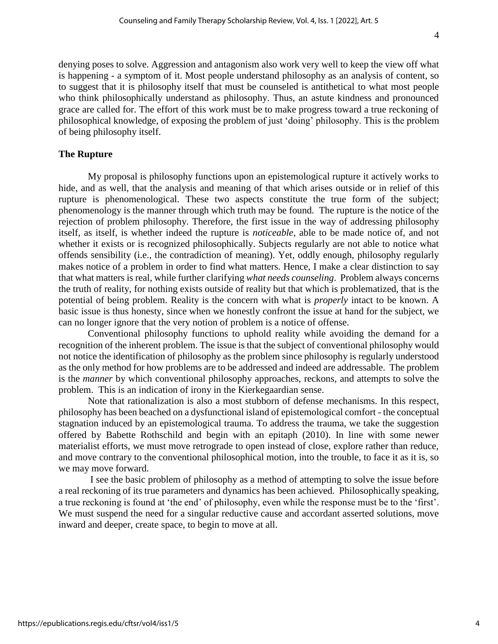denying poses to solve. Aggression and antagonism also work very well to keep the view off what is happening - a symptom of it. Most people understand philosophy as an analysis of content, so to suggest that it is philosophy itself that must be counseled is antithetical to what most people who think philosophically understand as philosophy. Thus, an astute kindness and pronounced grace are called for. The effort of this work must be to make progress toward a true reckoning of philosophical knowledge, of exposing the problem of just 'doing' philosophy. This is the problem of being philosophy itself.

## **The Rupture**

My proposal is philosophy functions upon an epistemological rupture it actively works to hide, and as well, that the analysis and meaning of that which arises outside or in relief of this rupture is phenomenological. These two aspects constitute the true form of the subject; phenomenology is the manner through which truth may be found. The rupture is the notice of the rejection of problem philosophy. Therefore, the first issue in the way of addressing philosophy itself, as itself, is whether indeed the rupture is *noticeable*, able to be made notice of, and not whether it exists or is recognized philosophically. Subjects regularly are not able to notice what offends sensibility (i.e., the contradiction of meaning). Yet, oddly enough, philosophy regularly makes notice of a problem in order to find what matters. Hence, I make a clear distinction to say that what matters is real, while further clarifying *what needs counseling*. Problem always concerns the truth of reality, for nothing exists outside of reality but that which is problematized, that is the potential of being problem. Reality is the concern with what is *properly* intact to be known. A basic issue is thus honesty, since when we honestly confront the issue at hand for the subject, we can no longer ignore that the very notion of problem is a notice of offense.

Conventional philosophy functions to uphold reality while avoiding the demand for a recognition of the inherent problem. The issue is that the subject of conventional philosophy would not notice the identification of philosophy as the problem since philosophy is regularly understood as the only method for how problems are to be addressed and indeed are addressable. The problem is the *manner* by which conventional philosophy approaches, reckons, and attempts to solve the problem. This is an indication of irony in the Kierkegaardian sense.

Note that rationalization is also a most stubborn of defense mechanisms. In this respect, philosophy has been beached on a dysfunctional island of epistemological comfort - the conceptual stagnation induced by an epistemological trauma. To address the trauma, we take the suggestion offered by Babette Rothschild and begin with an epitaph (2010). In line with some newer materialist efforts, we must move retrograde to open instead of close, explore rather than reduce, and move contrary to the conventional philosophical motion, into the trouble, to face it as it is, so we may move forward.

I see the basic problem of philosophy as a method of attempting to solve the issue before a real reckoning of its true parameters and dynamics has been achieved. Philosophically speaking, a true reckoning is found at 'the end' of philosophy, even while the response must be to the 'first'. We must suspend the need for a singular reductive cause and accordant asserted solutions, move inward and deeper, create space, to begin to move at all.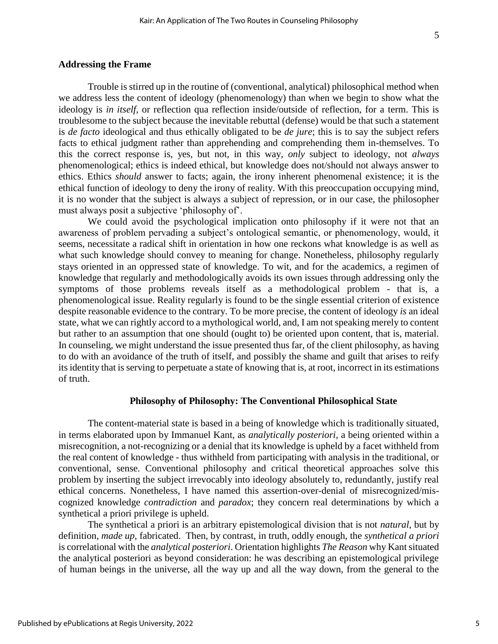### **Addressing the Frame**

Trouble is stirred up in the routine of (conventional, analytical) philosophical method when we address less the content of ideology (phenomenology) than when we begin to show what the ideology is *in itself*, or reflection qua reflection inside/outside of reflection, for a term. This is troublesome to the subject because the inevitable rebuttal (defense) would be that such a statement is *de facto* ideological and thus ethically obligated to be *de jure*; this is to say the subject refers facts to ethical judgment rather than apprehending and comprehending them in-themselves. To this the correct response is, yes, but not, in this way, *only* subject to ideology, not *always*  phenomenological; ethics is indeed ethical, but knowledge does not/should not always answer to ethics. Ethics *should* answer to facts; again, the irony inherent phenomenal existence; it is the ethical function of ideology to deny the irony of reality. With this preoccupation occupying mind, it is no wonder that the subject is always a subject of repression, or in our case, the philosopher must always posit a subjective 'philosophy of'.

We could avoid the psychological implication onto philosophy if it were not that an awareness of problem pervading a subject's ontological semantic, or phenomenology, would, it seems, necessitate a radical shift in orientation in how one reckons what knowledge is as well as what such knowledge should convey to meaning for change. Nonetheless, philosophy regularly stays oriented in an oppressed state of knowledge. To wit, and for the academics, a regimen of knowledge that regularly and methodologically avoids its own issues through addressing only the symptoms of those problems reveals itself as a methodological problem - that is, a phenomenological issue. Reality regularly is found to be the single essential criterion of existence despite reasonable evidence to the contrary. To be more precise, the content of ideology *is* an ideal state, what we can rightly accord to a mythological world, and, I am not speaking merely to content but rather to an assumption that one should (ought to) be oriented upon content, that is, material. In counseling, we might understand the issue presented thus far, of the client philosophy, as having to do with an avoidance of the truth of itself, and possibly the shame and guilt that arises to reify its identity that is serving to perpetuate a state of knowing that is, at root, incorrect in its estimations of truth.

### **Philosophy of Philosophy: The Conventional Philosophical State**

The content-material state is based in a being of knowledge which is traditionally situated, in terms elaborated upon by Immanuel Kant, as *analytically posteriori*, a being oriented within a misrecognition, a not-recognizing or a denial that its knowledge is upheld by a facet withheld from the real content of knowledge - thus withheld from participating with analysis in the traditional, or conventional, sense. Conventional philosophy and critical theoretical approaches solve this problem by inserting the subject irrevocably into ideology absolutely to, redundantly, justify real ethical concerns. Nonetheless, I have named this assertion-over-denial of misrecognized/miscognized knowledge *contradiction* and *paradox*; they concern real determinations by which a synthetical a priori privilege is upheld.

The synthetical a priori is an arbitrary epistemological division that is not *natural*, but by definition, *made up,* fabricated. Then, by contrast, in truth, oddly enough, the *synthetical a priori*  is correlational with the *analytical posteriori*. Orientation highlights *The Reason* why Kant situated the analytical posteriori as beyond consideration: he was describing an epistemological privilege of human beings in the universe, all the way up and all the way down, from the general to the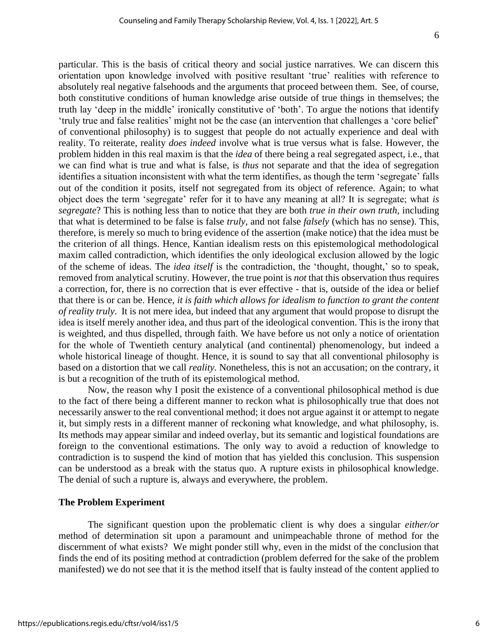particular. This is the basis of critical theory and social justice narratives. We can discern this orientation upon knowledge involved with positive resultant 'true' realities with reference to absolutely real negative falsehoods and the arguments that proceed between them. See, of course, both constitutive conditions of human knowledge arise outside of true things in themselves; the truth lay 'deep in the middle' ironically constitutive of 'both'. To argue the notions that identify 'truly true and false realities' might not be the case (an intervention that challenges a 'core belief' of conventional philosophy) is to suggest that people do not actually experience and deal with reality. To reiterate, reality *does indeed* involve what is true versus what is false. However, the problem hidden in this real maxim is that the *idea* of there being a real segregated aspect, i.e., that we can find what is true and what is false, is *thus* not separate and that the idea of segregation identifies a situation inconsistent with what the term identifies, as though the term 'segregate' falls out of the condition it posits, itself not segregated from its object of reference. Again; to what object does the term 'segregate' refer for it to have any meaning at all? It is segregate; what *is segregate*? This is nothing less than to notice that they are both *true in their own truth,* including that what is determined to be false is false *truly*, and not false *falsely* (which has no sense). This, therefore, is merely so much to bring evidence of the assertion (make notice) that the idea must be the criterion of all things. Hence, Kantian idealism rests on this epistemological methodological maxim called contradiction, which identifies the only ideological exclusion allowed by the logic of the scheme of ideas. The *idea itself* is the contradiction, the 'thought, thought,' so to speak, removed from analytical scrutiny. However, the true point is *not* that this observation thus requires a correction, for, there is no correction that is ever effective - that is, outside of the idea or belief that there is or can be. Hence, *it is faith which allows for idealism to function to grant the content of reality truly*. It is not mere idea, but indeed that any argument that would propose to disrupt the idea is itself merely another idea, and thus part of the ideological convention. This is the irony that is weighted, and thus dispelled, through faith. We have before us not only a notice of orientation for the whole of Twentieth century analytical (and continental) phenomenology, but indeed a whole historical lineage of thought. Hence, it is sound to say that all conventional philosophy is based on a distortion that we call *reality.* Nonetheless, this is not an accusation; on the contrary, it is but a recognition of the truth of its epistemological method.

Now, the reason why I posit the existence of a conventional philosophical method is due to the fact of there being a different manner to reckon what is philosophically true that does not necessarily answer to the real conventional method; it does not argue against it or attempt to negate it, but simply rests in a different manner of reckoning what knowledge, and what philosophy, is. Its methods may appear similar and indeed overlay, but its semantic and logistical foundations are foreign to the conventional estimations. The only way to avoid a reduction of knowledge to contradiction is to suspend the kind of motion that has yielded this conclusion. This suspension can be understood as a break with the status quo. A rupture exists in philosophical knowledge. The denial of such a rupture is, always and everywhere, the problem.

## **The Problem Experiment**

The significant question upon the problematic client is why does a singular *either/or*  method of determination sit upon a paramount and unimpeachable throne of method for the discernment of what exists? We might ponder still why, even in the midst of the conclusion that finds the end of its positing method at contradiction (problem deferred for the sake of the problem manifested) we do not see that it is the method itself that is faulty instead of the content applied to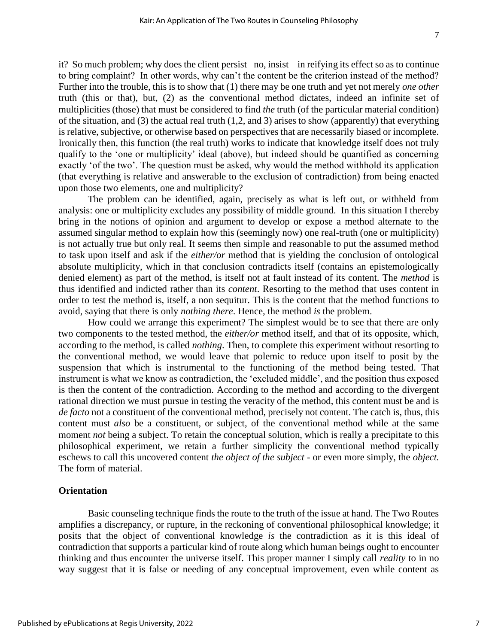it? So much problem; why does the client persist –no, insist – in reifying its effect so as to continue to bring complaint? In other words, why can't the content be the criterion instead of the method? Further into the trouble, this is to show that (1) there may be one truth and yet not merely *one other* truth (this or that), but, (2) as the conventional method dictates, indeed an infinite set of multiplicities (those) that must be considered to find *the* truth (of the particular material condition) of the situation, and (3) the actual real truth (1,2, and 3) arises to show (apparently) that everything is relative, subjective, or otherwise based on perspectives that are necessarily biased or incomplete. Ironically then, this function (the real truth) works to indicate that knowledge itself does not truly qualify to the 'one or multiplicity' ideal (above), but indeed should be quantified as concerning exactly 'of the two'. The question must be asked, why would the method withhold its application (that everything is relative and answerable to the exclusion of contradiction) from being enacted upon those two elements, one and multiplicity?

The problem can be identified, again, precisely as what is left out, or withheld from analysis: one or multiplicity excludes any possibility of middle ground. In this situation I thereby bring in the notions of opinion and argument to develop or expose a method alternate to the assumed singular method to explain how this (seemingly now) one real-truth (one or multiplicity) is not actually true but only real. It seems then simple and reasonable to put the assumed method to task upon itself and ask if the *either/or* method that is yielding the conclusion of ontological absolute multiplicity, which in that conclusion contradicts itself (contains an epistemologically denied element) as part of the method, is itself not at fault instead of its content. The *method* is thus identified and indicted rather than its *content*. Resorting to the method that uses content in order to test the method is, itself, a non sequitur. This is the content that the method functions to avoid, saying that there is only *nothing there*. Hence, the method *is* the problem.

How could we arrange this experiment? The simplest would be to see that there are only two components to the tested method, the *either/or* method itself, and that of its opposite, which, according to the method, is called *nothing*. Then, to complete this experiment without resorting to the conventional method, we would leave that polemic to reduce upon itself to posit by the suspension that which is instrumental to the functioning of the method being tested. That instrument is what we know as contradiction, the 'excluded middle', and the position thus exposed is then the content of the contradiction. According to the method and according to the divergent rational direction we must pursue in testing the veracity of the method, this content must be and is *de facto* not a constituent of the conventional method, precisely not content. The catch is, thus, this content must *also* be a constituent, or subject, of the conventional method while at the same moment *not* being a subject. To retain the conceptual solution, which is really a precipitate to this philosophical experiment, we retain a further simplicity the conventional method typically eschews to call this uncovered content *the object of the subject* - or even more simply, the *object.*  The form of material.

### **Orientation**

Basic counseling technique finds the route to the truth of the issue at hand. The Two Routes amplifies a discrepancy, or rupture, in the reckoning of conventional philosophical knowledge; it posits that the object of conventional knowledge *is* the contradiction as it is this ideal of contradiction that supports a particular kind of route along which human beings ought to encounter thinking and thus encounter the universe itself. This proper manner I simply call *reality* to in no way suggest that it is false or needing of any conceptual improvement, even while content as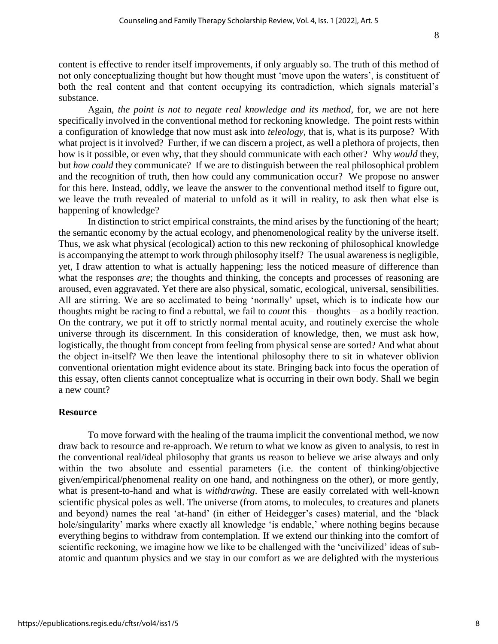content is effective to render itself improvements, if only arguably so. The truth of this method of not only conceptualizing thought but how thought must 'move upon the waters', is constituent of both the real content and that content occupying its contradiction, which signals material's substance.

Again, *the point is not to negate real knowledge and its method*, for, we are not here specifically involved in the conventional method for reckoning knowledge. The point rests within a configuration of knowledge that now must ask into *teleology,* that is, what is its purpose? With what project is it involved? Further, if we can discern a project, as well a plethora of projects, then how is it possible, or even why, that they should communicate with each other? Why *would* they, but *how could* they communicate? If we are to distinguish between the real philosophical problem and the recognition of truth, then how could any communication occur? We propose no answer for this here. Instead, oddly, we leave the answer to the conventional method itself to figure out, we leave the truth revealed of material to unfold as it will in reality, to ask then what else is happening of knowledge?

In distinction to strict empirical constraints, the mind arises by the functioning of the heart; the semantic economy by the actual ecology, and phenomenological reality by the universe itself. Thus, we ask what physical (ecological) action to this new reckoning of philosophical knowledge is accompanying the attempt to work through philosophy itself? The usual awareness is negligible, yet, I draw attention to what is actually happening; less the noticed measure of difference than what the responses *are*; the thoughts and thinking, the concepts and processes of reasoning are aroused, even aggravated. Yet there are also physical, somatic, ecological, universal, sensibilities. All are stirring. We are so acclimated to being 'normally' upset, which is to indicate how our thoughts might be racing to find a rebuttal, we fail to *count* this – thoughts – as a bodily reaction. On the contrary, we put it off to strictly normal mental acuity, and routinely exercise the whole universe through its discernment. In this consideration of knowledge, then, we must ask how, logistically, the thought from concept from feeling from physical sense are sorted? And what about the object in-itself? We then leave the intentional philosophy there to sit in whatever oblivion conventional orientation might evidence about its state. Bringing back into focus the operation of this essay, often clients cannot conceptualize what is occurring in their own body. Shall we begin a new count?

### **Resource**

To move forward with the healing of the trauma implicit the conventional method, we now draw back to resource and re-approach. We return to what we know as given to analysis, to rest in the conventional real/ideal philosophy that grants us reason to believe we arise always and only within the two absolute and essential parameters (i.e. the content of thinking/objective given/empirical/phenomenal reality on one hand, and nothingness on the other), or more gently, what is present-to-hand and what is *withdrawing*. These are easily correlated with well-known scientific physical poles as well. The universe (from atoms, to molecules, to creatures and planets and beyond) names the real 'at-hand' (in either of Heidegger's cases) material, and the 'black hole/singularity' marks where exactly all knowledge 'is endable,' where nothing begins because everything begins to withdraw from contemplation. If we extend our thinking into the comfort of scientific reckoning, we imagine how we like to be challenged with the 'uncivilized' ideas of subatomic and quantum physics and we stay in our comfort as we are delighted with the mysterious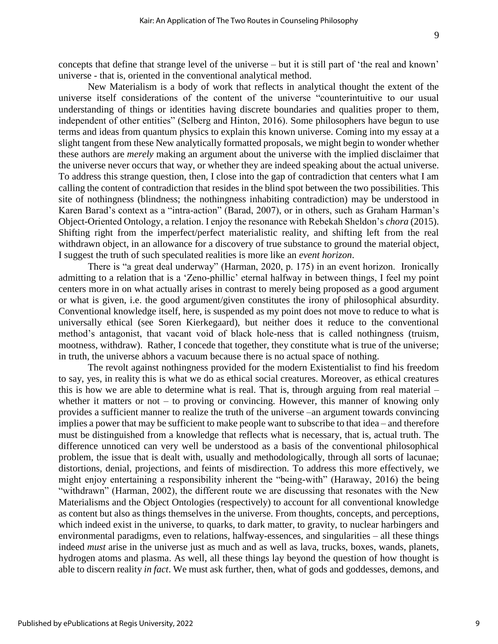concepts that define that strange level of the universe – but it is still part of 'the real and known' universe - that is, oriented in the conventional analytical method.

New Materialism is a body of work that reflects in analytical thought the extent of the universe itself considerations of the content of the universe "counterintuitive to our usual understanding of things or identities having discrete boundaries and qualities proper to them, independent of other entities" (Selberg and Hinton, 2016). Some philosophers have begun to use terms and ideas from quantum physics to explain this known universe. Coming into my essay at a slight tangent from these New analytically formatted proposals, we might begin to wonder whether these authors are *merely* making an argument about the universe with the implied disclaimer that the universe never occurs that way, or whether they are indeed speaking about the actual universe. To address this strange question, then, I close into the gap of contradiction that centers what I am calling the content of contradiction that resides in the blind spot between the two possibilities. This site of nothingness (blindness; the nothingness inhabiting contradiction) may be understood in Karen Barad's context as a "intra-action" (Barad, 2007), or in others, such as Graham Harman's Object-Oriented Ontology, a relation. I enjoy the resonance with Rebekah Sheldon's *chora* (2015). Shifting right from the imperfect/perfect materialistic reality, and shifting left from the real withdrawn object, in an allowance for a discovery of true substance to ground the material object, I suggest the truth of such speculated realities is more like an *event horizon*.

There is "a great deal underway" (Harman, 2020, p. 175) in an event horizon. Ironically admitting to a relation that is a 'Zeno-phillic' eternal halfway in between things, I feel my point centers more in on what actually arises in contrast to merely being proposed as a good argument or what is given, i.e. the good argument/given constitutes the irony of philosophical absurdity. Conventional knowledge itself, here, is suspended as my point does not move to reduce to what is universally ethical (see Soren Kierkegaard), but neither does it reduce to the conventional method's antagonist, that vacant void of black hole-ness that is called nothingness (truism, mootness, withdraw). Rather, I concede that together, they constitute what is true of the universe; in truth, the universe abhors a vacuum because there is no actual space of nothing.

The revolt against nothingness provided for the modern Existentialist to find his freedom to say, yes, in reality this is what we do as ethical social creatures. Moreover, as ethical creatures this is how we are able to determine what is real. That is, through arguing from real material – whether it matters or not – to proving or convincing. However, this manner of knowing only provides a sufficient manner to realize the truth of the universe –an argument towards convincing implies a power that may be sufficient to make people want to subscribe to that idea – and therefore must be distinguished from a knowledge that reflects what is necessary, that is, actual truth. The difference unnoticed can very well be understood as a basis of the conventional philosophical problem, the issue that is dealt with, usually and methodologically, through all sorts of lacunae; distortions, denial, projections, and feints of misdirection. To address this more effectively, we might enjoy entertaining a responsibility inherent the "being-with" (Haraway, 2016) the being "withdrawn" (Harman, 2002), the different route we are discussing that resonates with the New Materialisms and the Object Ontologies (respectively) to account for all conventional knowledge as content but also as things themselves in the universe. From thoughts, concepts, and perceptions, which indeed exist in the universe, to quarks, to dark matter, to gravity, to nuclear harbingers and environmental paradigms, even to relations, halfway-essences, and singularities – all these things indeed *must* arise in the universe just as much and as well as lava, trucks, boxes, wands, planets, hydrogen atoms and plasma. As well, all these things lay beyond the question of how thought is able to discern reality *in fact*. We must ask further, then, what of gods and goddesses, demons, and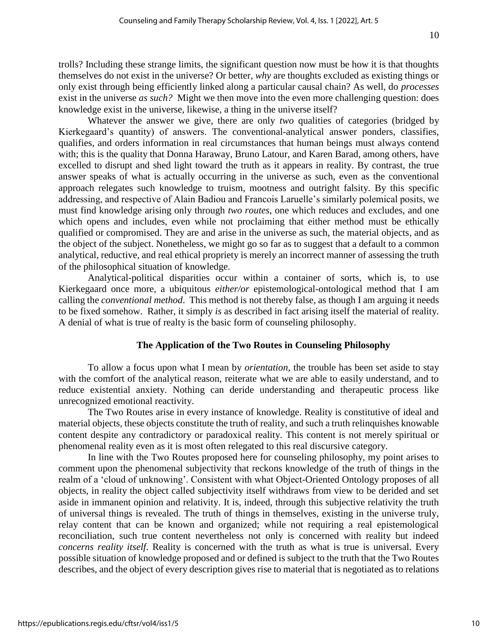trolls? Including these strange limits, the significant question now must be how it is that thoughts themselves do not exist in the universe? Or better, *why* are thoughts excluded as existing things or only exist through being efficiently linked along a particular causal chain? As well, do *processes* exist in the universe *as such?* Might we then move into the even more challenging question: does knowledge exist in the universe, likewise, a thing in the universe itself?

Whatever the answer we give, there are only *two* qualities of categories (bridged by Kierkegaard's quantity) of answers. The conventional-analytical answer ponders, classifies, qualifies, and orders information in real circumstances that human beings must always contend with; this is the quality that Donna Haraway, Bruno Latour, and Karen Barad, among others, have excelled to disrupt and shed light toward the truth as it appears in reality. By contrast, the true answer speaks of what is actually occurring in the universe as such, even as the conventional approach relegates such knowledge to truism, mootness and outright falsity. By this specific addressing, and respective of Alain Badiou and Francois Laruelle's similarly polemical posits, we must find knowledge arising only through *two routes*, one which reduces and excludes, and one which opens and includes, even while not proclaiming that either method must be ethically qualified or compromised. They are and arise in the universe as such, the material objects, and as the object of the subject. Nonetheless, we might go so far as to suggest that a default to a common analytical, reductive, and real ethical propriety is merely an incorrect manner of assessing the truth of the philosophical situation of knowledge.

Analytical-political disparities occur within a container of sorts, which is, to use Kierkegaard once more, a ubiquitous *either/or* epistemological-ontological method that I am calling the *conventional method*. This method is not thereby false, as though I am arguing it needs to be fixed somehow. Rather, it simply *is* as described in fact arising itself the material of reality. A denial of what is true of realty is the basic form of counseling philosophy.

# **The Application of the Two Routes in Counseling Philosophy**

To allow a focus upon what I mean by *orientation,* the trouble has been set aside to stay with the comfort of the analytical reason, reiterate what we are able to easily understand, and to reduce existential anxiety. Nothing can deride understanding and therapeutic process like unrecognized emotional reactivity.

The Two Routes arise in every instance of knowledge. Reality is constitutive of ideal and material objects, these objects constitute the truth of reality, and such a truth relinquishes knowable content despite any contradictory or paradoxical reality. This content is not merely spiritual or phenomenal reality even as it is most often relegated to this real discursive category.

In line with the Two Routes proposed here for counseling philosophy, my point arises to comment upon the phenomenal subjectivity that reckons knowledge of the truth of things in the realm of a 'cloud of unknowing'. Consistent with what Object-Oriented Ontology proposes of all objects, in reality the object called subjectivity itself withdraws from view to be derided and set aside in immanent opinion and relativity. It is, indeed, through this subjective relativity the truth of universal things is revealed. The truth of things in themselves, existing in the universe truly, relay content that can be known and organized; while not requiring a real epistemological reconciliation, such true content nevertheless not only is concerned with reality but indeed *concerns reality itself*. Reality is concerned with the truth as what is true is universal. Every possible situation of knowledge proposed and or defined is subject to the truth that the Two Routes describes, and the object of every description gives rise to material that is negotiated as to relations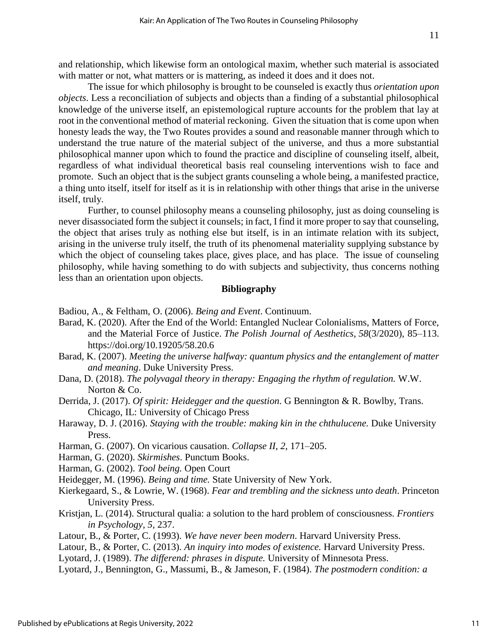and relationship, which likewise form an ontological maxim, whether such material is associated with matter or not, what matters or is mattering, as indeed it does and it does not.

The issue for which philosophy is brought to be counseled is exactly thus *orientation upon objects*. Less a reconciliation of subjects and objects than a finding of a substantial philosophical knowledge of the universe itself, an epistemological rupture accounts for the problem that lay at root in the conventional method of material reckoning. Given the situation that is come upon when honesty leads the way, the Two Routes provides a sound and reasonable manner through which to understand the true nature of the material subject of the universe, and thus a more substantial philosophical manner upon which to found the practice and discipline of counseling itself, albeit, regardless of what individual theoretical basis real counseling interventions wish to face and promote. Such an object that is the subject grants counseling a whole being, a manifested practice, a thing unto itself, itself for itself as it is in relationship with other things that arise in the universe itself, truly.

Further, to counsel philosophy means a counseling philosophy, just as doing counseling is never disassociated form the subject it counsels; in fact, I find it more proper to say that counseling, the object that arises truly as nothing else but itself, is in an intimate relation with its subject, arising in the universe truly itself, the truth of its phenomenal materiality supplying substance by which the object of counseling takes place, gives place, and has place. The issue of counseling philosophy, while having something to do with subjects and subjectivity, thus concerns nothing less than an orientation upon objects.

### **Bibliography**

Badiou, A., & Feltham, O. (2006). *Being and Event*. Continuum.

- Barad, K. (2020). After the End of the World: Entangled Nuclear Colonialisms, Matters of Force, and the Material Force of Justice. *The Polish Journal of Aesthetics*, *58*(3/2020), 85–113. https://doi.org/10.19205/58.20.6
- Barad, K. (2007). *Meeting the universe halfway: quantum physics and the entanglement of matter and meaning*. Duke University Press.
- Dana, D. (2018). *The polyvagal theory in therapy: Engaging the rhythm of regulation.* W.W. Norton & Co.
- Derrida, J. (2017). *Of spirit: Heidegger and the question.* G Bennington & R. Bowlby, Trans. Chicago, IL: University of Chicago Press
- Haraway, D. J. (2016). *Staying with the trouble: making kin in the chthulucene*. Duke University Press.
- Harman, G. (2007). On vicarious causation. *Collapse II*, *2*, 171–205.
- Harman, G. (2020). *Skirmishes*. Punctum Books.
- Harman, G. (2002). *Tool being.* Open Court

Heidegger, M. (1996). *Being and time.* State University of New York.

- Kierkegaard, S., & Lowrie, W. (1968). *Fear and trembling and the sickness unto death*. Princeton University Press.
- Kristjan, L. (2014). Structural qualia: a solution to the hard problem of consciousness. *Frontiers in Psychology, 5,* 237.
- Latour, B., & Porter, C. (1993). *We have never been modern*. Harvard University Press.
- Latour, B., & Porter, C. (2013). *An inquiry into modes of existence.* Harvard University Press.
- Lyotard, J. (1989). *The differend: phrases in dispute.* University of Minnesota Press.
- Lyotard, J., Bennington, G., Massumi, B., & Jameson, F. (1984). *The postmodern condition: a*